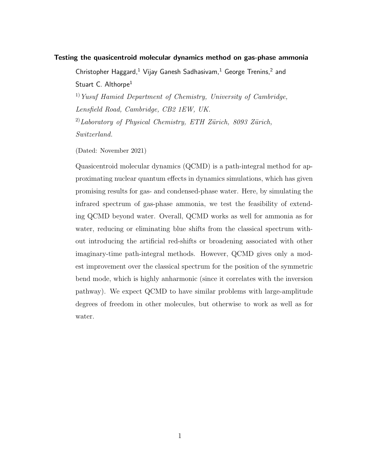## Testing the quasicentroid molecular dynamics method on gas-phase ammonia

Christopher Haggard,<sup>1</sup> Vijay Ganesh Sadhasivam,<sup>1</sup> George Trenins,<sup>2</sup> and Stuart C. Althorpe<sup>1</sup>

 $1)$  Yusuf Hamied Department of Chemistry, University of Cambridge, Lensfield Road, Cambridge, CB2 1EW, UK.

 $^{2)}$ Laboratory of Physical Chemistry, ETH Zürich, 8093 Zürich, Switzerland.

(Dated: November 2021)

Quasicentroid molecular dynamics (QCMD) is a path-integral method for approximating nuclear quantum effects in dynamics simulations, which has given promising results for gas- and condensed-phase water. Here, by simulating the infrared spectrum of gas-phase ammonia, we test the feasibility of extending QCMD beyond water. Overall, QCMD works as well for ammonia as for water, reducing or eliminating blue shifts from the classical spectrum without introducing the artificial red-shifts or broadening associated with other imaginary-time path-integral methods. However, QCMD gives only a modest improvement over the classical spectrum for the position of the symmetric bend mode, which is highly anharmonic (since it correlates with the inversion pathway). We expect QCMD to have similar problems with large-amplitude degrees of freedom in other molecules, but otherwise to work as well as for water.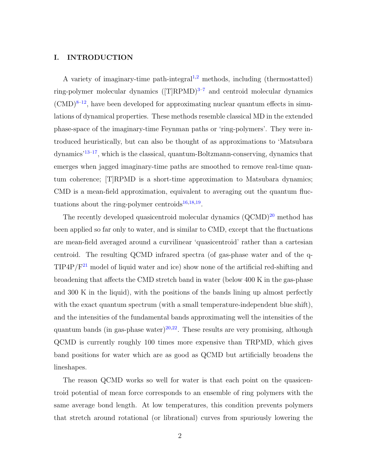## I. INTRODUCTION

A variety of imaginary-time path-integral<sup>[1](#page-11-0)[,2](#page-11-1)</sup> methods, including (thermostatted) ring-polymer molecular dynamics  $(T|RPMD)^{3-7}$  $(T|RPMD)^{3-7}$  $(T|RPMD)^{3-7}$  and centroid molecular dynamics  $(CMD)^{8-12}$  $(CMD)^{8-12}$  $(CMD)^{8-12}$ , have been developed for approximating nuclear quantum effects in simulations of dynamical properties. These methods resemble classical MD in the extended phase-space of the imaginary-time Feynman paths or 'ring-polymers'. They were introduced heuristically, but can also be thought of as approximations to 'Matsubara dynamics'[13–](#page-12-1)[17](#page-12-2), which is the classical, quantum-Boltzmann-conserving, dynamics that emerges when jagged imaginary-time paths are smoothed to remove real-time quantum coherence; [T]RPMD is a short-time approximation to Matsubara dynamics; CMD is a mean-field approximation, equivalent to averaging out the quantum fluctuations about the ring-polymer centroids $^{16,18,19}$  $^{16,18,19}$  $^{16,18,19}$  $^{16,18,19}$  $^{16,18,19}$ .

The recently developed quasicentroid molecular dynamics  $(QCMD)^{20}$  $(QCMD)^{20}$  $(QCMD)^{20}$  method has been applied so far only to water, and is similar to CMD, except that the fluctuations are mean-field averaged around a curvilinear 'quasicentroid' rather than a cartesian centroid. The resulting QCMD infrared spectra (of gas-phase water and of the q- $TIP4P/F<sup>21</sup>$  $TIP4P/F<sup>21</sup>$  $TIP4P/F<sup>21</sup>$  model of liquid water and ice) show none of the artificial red-shifting and broadening that affects the CMD stretch band in water (below 400 K in the gas-phase and 300 K in the liquid), with the positions of the bands lining up almost perfectly with the exact quantum spectrum (with a small temperature-independent blue shift), and the intensities of the fundamental bands approximating well the intensities of the quantum bands (in gas-phase water)<sup>[20,](#page-12-6)[22](#page-12-8)</sup>. These results are very promising, although QCMD is currently roughly 100 times more expensive than TRPMD, which gives band positions for water which are as good as QCMD but artificially broadens the lineshapes.

The reason QCMD works so well for water is that each point on the quasicentroid potential of mean force corresponds to an ensemble of ring polymers with the same average bond length. At low temperatures, this condition prevents polymers that stretch around rotational (or librational) curves from spuriously lowering the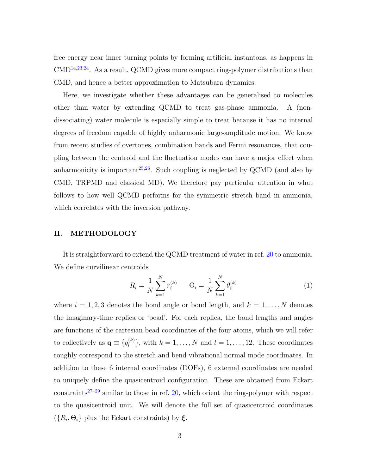free energy near inner turning points by forming artificial instantons, as happens in  $\text{CMD}^{14,23,24}$  $\text{CMD}^{14,23,24}$  $\text{CMD}^{14,23,24}$  $\text{CMD}^{14,23,24}$  $\text{CMD}^{14,23,24}$ . As a result, QCMD gives more compact ring-polymer distributions than CMD, and hence a better approximation to Matsubara dynamics.

Here, we investigate whether these advantages can be generalised to molecules other than water by extending QCMD to treat gas-phase ammonia. A (nondissociating) water molecule is especially simple to treat because it has no internal degrees of freedom capable of highly anharmonic large-amplitude motion. We know from recent studies of overtones, combination bands and Fermi resonances, that coupling between the centroid and the fluctuation modes can have a major effect when anharmonicity is important<sup>[25,](#page-12-12)[26](#page-12-13)</sup>. Such coupling is neglected by QCMD (and also by CMD, TRPMD and classical MD). We therefore pay particular attention in what follows to how well QCMD performs for the symmetric stretch band in ammonia, which correlates with the inversion pathway.

#### II. METHODOLOGY

It is straightforward to extend the QCMD treatment of water in ref. [20](#page-12-6) to ammonia. We define curvilinear centroids

$$
R_i = \frac{1}{N} \sum_{k=1}^{N} r_i^{(k)} \qquad \Theta_i = \frac{1}{N} \sum_{k=1}^{N} \theta_i^{(k)} \tag{1}
$$

where  $i = 1, 2, 3$  denotes the bond angle or bond length, and  $k = 1, ..., N$  denotes the imaginary-time replica or 'bead'. For each replica, the bond lengths and angles are functions of the cartesian bead coordinates of the four atoms, which we will refer to collectively as  $\mathbf{q} \equiv \{q_l^{(k)}\}$  $\binom{k}{l}$ , with  $k = 1, \ldots, N$  and  $l = 1, \ldots, 12$ . These coordinates roughly correspond to the stretch and bend vibrational normal mode coordinates. In addition to these 6 internal coordinates (DOFs), 6 external coordinates are needed to uniquely define the quasicentroid configuration. These are obtained from Eckart constraints<sup>[27](#page-12-14)[–29](#page-12-15)</sup> similar to those in ref. [20,](#page-12-6) which orient the ring-polymer with respect to the quasicentroid unit. We will denote the full set of quasicentroid coordinates  $({R_i, \Theta_i})$  plus the Eckart constraints) by  $\xi$ .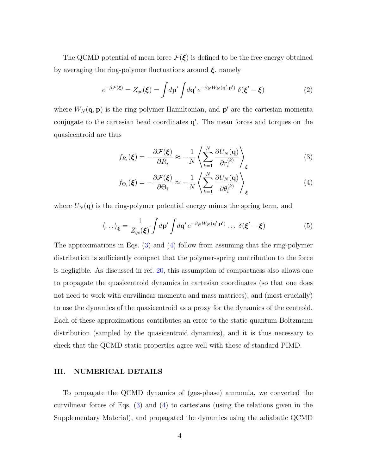The QCMD potential of mean force  $\mathcal{F}(\xi)$  is defined to be the free energy obtained by averaging the ring-polymer fluctuations around  $\xi$ , namely

$$
e^{-\beta \mathcal{F}(\boldsymbol{\xi})} = Z_{qc}(\boldsymbol{\xi}) = \int d\mathbf{p}' \int d\mathbf{q}' \, e^{-\beta_N W_N(\mathbf{q}', \mathbf{p}')} \, \delta(\boldsymbol{\xi}' - \boldsymbol{\xi}) \tag{2}
$$

where  $W_N(\mathbf{q}, \mathbf{p})$  is the ring-polymer Hamiltonian, and  $\mathbf{p}'$  are the cartesian momenta conjugate to the cartesian bead coordinates  $q'$ . The mean forces and torques on the quasicentroid are thus

<span id="page-3-0"></span>
$$
f_{R_i}(\boldsymbol{\xi}) = -\frac{\partial \mathcal{F}(\boldsymbol{\xi})}{\partial R_i} \approx -\frac{1}{N} \left\langle \sum_{k=1}^N \frac{\partial U_N(\mathbf{q})}{\partial r_i^{(k)}} \right\rangle_{\boldsymbol{\xi}}
$$
(3)

<span id="page-3-1"></span>
$$
f_{\Theta_i}(\boldsymbol{\xi}) = -\frac{\partial \mathcal{F}(\boldsymbol{\xi})}{\partial \Theta_i} \approx -\frac{1}{N} \left\langle \sum_{k=1}^N \frac{\partial U_N(\mathbf{q})}{\partial \theta_i^{(k)}} \right\rangle_{\boldsymbol{\xi}}
$$
(4)

where  $U_N(\mathbf{q})$  is the ring-polymer potential energy minus the spring term, and

$$
\langle \dots \rangle_{\xi} = \frac{1}{Z_{qc}(\xi)} \int d\mathbf{p}' \int d\mathbf{q}' \, e^{-\beta_N W_N(\mathbf{q}', \mathbf{p}')} \dots \, \delta(\xi' - \xi) \tag{5}
$$

The approximations in Eqs. [\(3\)](#page-3-0) and [\(4\)](#page-3-1) follow from assuming that the ring-polymer distribution is sufficiently compact that the polymer-spring contribution to the force is negligible. As discussed in ref. [20,](#page-12-6) this assumption of compactness also allows one to propagate the quasicentroid dynamics in cartesian coordinates (so that one does not need to work with curvilinear momenta and mass matrices), and (most crucially) to use the dynamics of the quasicentroid as a proxy for the dynamics of the centroid. Each of these approximations contributes an error to the static quantum Boltzmann distribution (sampled by the quasicentroid dynamics), and it is thus necessary to check that the QCMD static properties agree well with those of standard PIMD.

#### III. NUMERICAL DETAILS

To propagate the QCMD dynamics of (gas-phase) ammonia, we converted the curvilinear forces of Eqs. [\(3\)](#page-3-0) and [\(4\)](#page-3-1) to cartesians (using the relations given in the Supplementary Material), and propagated the dynamics using the adiabatic QCMD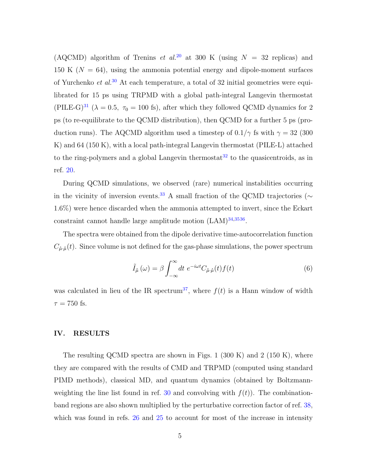(AQCMD) algorithm of Trenins et al.<sup>[20](#page-12-6)</sup> at 300 K (using  $N = 32$  replicas) and 150 K ( $N = 64$ ), using the ammonia potential energy and dipole-moment surfaces of Yurchenko et  $al^{30}$  $al^{30}$  $al^{30}$  At each temperature, a total of 32 initial geometries were equilibrated for 15 ps using TRPMD with a global path-integral Langevin thermostat (PILE-G)<sup>[31](#page-12-17)</sup> ( $\lambda = 0.5$ ,  $\tau_0 = 100$  fs), after which they followed QCMD dynamics for 2 ps (to re-equilibrate to the QCMD distribution), then QCMD for a further 5 ps (production runs). The AQCMD algorithm used a timestep of  $0.1/\gamma$  fs with  $\gamma = 32$  (300) K) and 64 (150 K), with a local path-integral Langevin thermostat (PILE-L) attached to the ring-polymers and a global Langevin thermostat<sup>[32](#page-12-18)</sup> to the quasicentroids, as in ref. [20.](#page-12-6)

During QCMD simulations, we observed (rare) numerical instabilities occurring in the vicinity of inversion events.<sup>[33](#page-13-0)</sup> A small fraction of the QCMD trajectories ( $\sim$ 1.6%) were hence discarded when the ammonia attempted to invert, since the Eckart constraint cannot handle large amplitude motion  $(LAM)^{34,3536}$  $(LAM)^{34,3536}$  $(LAM)^{34,3536}$  $(LAM)^{34,3536}$  $(LAM)^{34,3536}$ .

The spectra were obtained from the dipole derivative time-autocorrelation function  $C_{\mu,\mu}(t)$ . Since volume is not defined for the gas-phase simulations, the power spectrum

$$
\tilde{I}_{\dot{\mu}}(\omega) = \beta \int_{-\infty}^{\infty} dt \ e^{-i\omega t} C_{\dot{\mu}\cdot\dot{\mu}}(t) f(t) \tag{6}
$$

was calculated in lieu of the IR spectrum<sup>[37](#page-13-4)</sup>, where  $f(t)$  is a Hann window of width  $\tau = 750$  fs.

#### IV. RESULTS

The resulting QCMD spectra are shown in Figs. 1 (300 K) and 2 (150 K), where they are compared with the results of CMD and TRPMD (computed using standard PIMD methods), classical MD, and quantum dynamics (obtained by Boltzmann-weighting the line list found in ref. [30](#page-12-16) and convolving with  $f(t)$ ). The combinationband regions are also shown multiplied by the perturbative correction factor of ref. [38,](#page-13-5) which was found in refs. [26](#page-12-13) and [25](#page-12-12) to account for most of the increase in intensity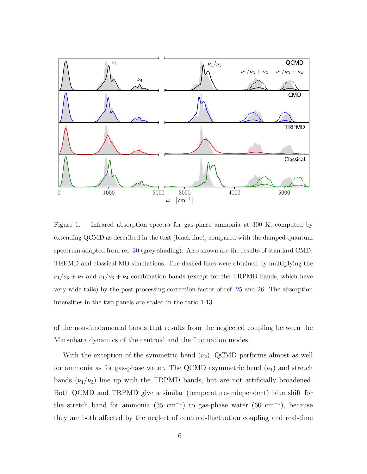

<span id="page-5-0"></span>Figure 1. Infrared absorption spectra for gas-phase ammonia at 300 K, computed by extending QCMD as described in the text (black line), compared with the damped quantum spectrum adapted from ref. [30](#page-12-16) (grey shading). Also shown are the results of standard CMD, TRPMD and classical MD simulations. The dashed lines were obtained by multiplying the  $\nu_1/\nu_3 + \nu_2$  and  $\nu_1/\nu_3 + \nu_4$  combination bands (except for the TRPMD bands, which have very wide tails) by the post-processing correction factor of ref. [25](#page-12-12) and [26.](#page-12-13) The absorption intensities in the two panels are scaled in the ratio 1:13.

of the non-fundamental bands that results from the neglected coupling between the Matsubara dynamics of the centroid and the fluctuation modes.

With the exception of the symmetric bend  $(\nu_2)$ , QCMD performs almost as well for ammonia as for gas-phase water. The QCMD asymmetric bend  $(\nu_4)$  and stretch bands  $(\nu_1/\nu_3)$  line up with the TRPMD bands, but are not artificially broadened. Both QCMD and TRPMD give a similar (temperature-independent) blue shift for the stretch band for ammonia  $(35 \text{ cm}^{-1})$  to gas-phase water  $(60 \text{ cm}^{-1})$ , because they are both affected by the neglect of centroid-fluctuation coupling and real-time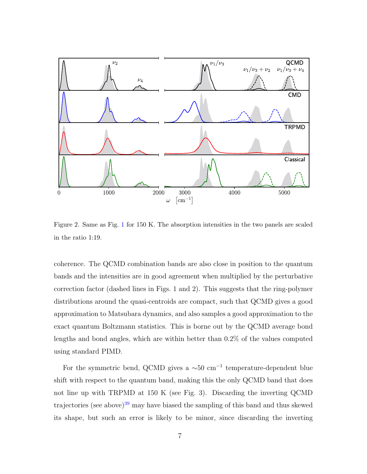

Figure 2. Same as Fig. [1](#page-5-0) for 150 K. The absorption intensities in the two panels are scaled in the ratio 1:19.

coherence. The QCMD combination bands are also close in position to the quantum bands and the intensities are in good agreement when multiplied by the perturbative correction factor (dashed lines in Figs. 1 and 2). This suggests that the ring-polymer distributions around the quasi-centroids are compact, such that QCMD gives a good approximation to Matsubara dynamics, and also samples a good approximation to the exact quantum Boltzmann statistics. This is borne out by the QCMD average bond lengths and bond angles, which are within better than 0.2% of the values computed using standard PIMD.

For the symmetric bend, QCMD gives a  $\sim 50$  cm<sup>-1</sup> temperature-dependent blue shift with respect to the quantum band, making this the only QCMD band that does not line up with TRPMD at 150 K (see Fig. 3). Discarding the inverting QCMD trajectories (see above)<sup>[39](#page-13-6)</sup> may have biased the sampling of this band and thus skewed its shape, but such an error is likely to be minor, since discarding the inverting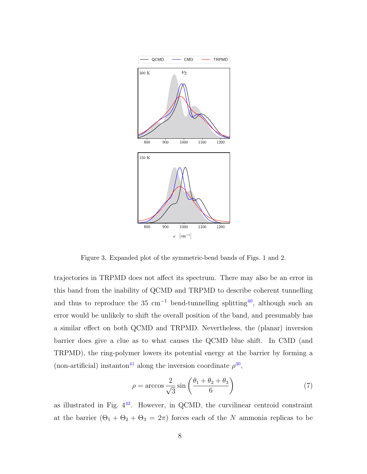

Figure 3. Expanded plot of the symmetric-bend bands of Figs. 1 and 2.

trajectories in TRPMD does not affect its spectrum. There may also be an error in this band from the inability of QCMD and TRPMD to describe coherent tunnelling and thus to reproduce the 35 cm<sup>-1</sup> bend-tunnelling splitting<sup>[40](#page-13-7)</sup>, although such an error would be unlikely to shift the overall position of the band, and presumably has a similar effect on both QCMD and TRPMD. Nevertheless, the (planar) inversion barrier does give a clue as to what causes the QCMD blue shift. In CMD (and TRPMD), the ring-polymer lowers its potential energy at the barrier by forming a (non-artificial) instanton<sup>[41](#page-13-8)</sup> along the inversion coordinate  $\rho^{30}$  $\rho^{30}$  $\rho^{30}$ ,

$$
\rho = \arccos \frac{2}{\sqrt{3}} \sin \left( \frac{\theta_1 + \theta_2 + \theta_3}{6} \right) \tag{7}
$$

as illustrated in Fig.  $4^{42}$  $4^{42}$  $4^{42}$ . However, in QCMD, the curvilinear centroid constraint at the barrier  $(\Theta_1 + \Theta_2 + \Theta_3 = 2\pi)$  forces each of the N ammonia replicas to be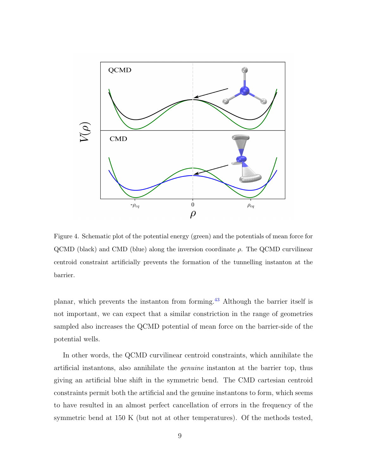

Figure 4. Schematic plot of the potential energy (green) and the potentials of mean force for  $\rm QCMD$  (black) and CMD (blue) along the inversion coordinate  $\rho$ . The QCMD curvilinear centroid constraint artificially prevents the formation of the tunnelling instanton at the barrier.

planar, which prevents the instanton from forming.[43](#page-13-10) Although the barrier itself is not important, we can expect that a similar constriction in the range of geometries sampled also increases the QCMD potential of mean force on the barrier-side of the potential wells.

In other words, the QCMD curvilinear centroid constraints, which annihilate the artificial instantons, also annihilate the genuine instanton at the barrier top, thus giving an artificial blue shift in the symmetric bend. The CMD cartesian centroid constraints permit both the artificial and the genuine instantons to form, which seems to have resulted in an almost perfect cancellation of errors in the frequency of the symmetric bend at 150 K (but not at other temperatures). Of the methods tested,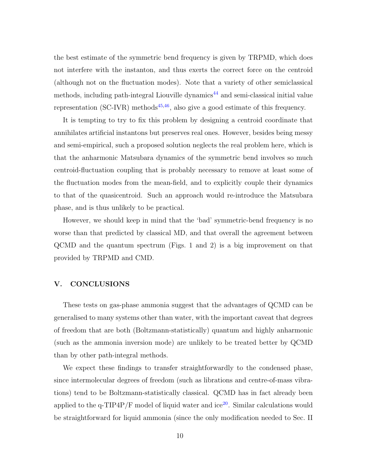the best estimate of the symmetric bend frequency is given by TRPMD, which does not interfere with the instanton, and thus exerts the correct force on the centroid (although not on the fluctuation modes). Note that a variety of other semiclassical methods, including path-integral Liouville dynamics<sup> $44$ </sup> and semi-classical initial value representation (SC-IVR) methods<sup>[45,](#page-13-12)[46](#page-13-13)</sup>, also give a good estimate of this frequency.

It is tempting to try to fix this problem by designing a centroid coordinate that annihilates artificial instantons but preserves real ones. However, besides being messy and semi-empirical, such a proposed solution neglects the real problem here, which is that the anharmonic Matsubara dynamics of the symmetric bend involves so much centroid-fluctuation coupling that is probably necessary to remove at least some of the fluctuation modes from the mean-field, and to explicitly couple their dynamics to that of the quasicentroid. Such an approach would re-introduce the Matsubara phase, and is thus unlikely to be practical.

However, we should keep in mind that the 'bad' symmetric-bend frequency is no worse than that predicted by classical MD, and that overall the agreement between QCMD and the quantum spectrum (Figs. 1 and 2) is a big improvement on that provided by TRPMD and CMD.

#### V. CONCLUSIONS

These tests on gas-phase ammonia suggest that the advantages of QCMD can be generalised to many systems other than water, with the important caveat that degrees of freedom that are both (Boltzmann-statistically) quantum and highly anharmonic (such as the ammonia inversion mode) are unlikely to be treated better by QCMD than by other path-integral methods.

We expect these findings to transfer straightforwardly to the condensed phase, since intermolecular degrees of freedom (such as librations and centre-of-mass vibrations) tend to be Boltzmann-statistically classical. QCMD has in fact already been applied to the  $q$ -TIP4P/F model of liquid water and ice<sup>[20](#page-12-6)</sup>. Similar calculations would be straightforward for liquid ammonia (since the only modification needed to Sec. II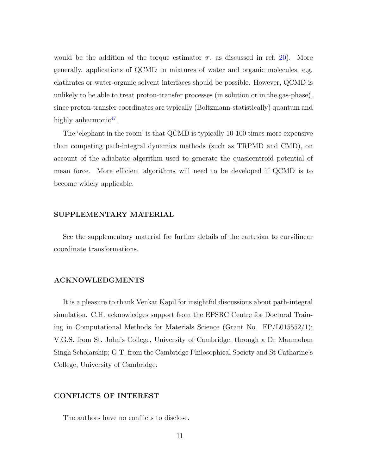would be the addition of the torque estimator  $\tau$ , as discussed in ref. [20\)](#page-12-6). More generally, applications of QCMD to mixtures of water and organic molecules, e.g. clathrates or water-organic solvent interfaces should be possible. However, QCMD is unlikely to be able to treat proton-transfer processes (in solution or in the gas-phase), since proton-transfer coordinates are typically (Boltzmann-statistically) quantum and highly anharmonic<sup>[47](#page-13-14)</sup>.

The 'elephant in the room' is that QCMD is typically 10-100 times more expensive than competing path-integral dynamics methods (such as TRPMD and CMD), on account of the adiabatic algorithm used to generate the quasicentroid potential of mean force. More efficient algorithms will need to be developed if QCMD is to become widely applicable.

### SUPPLEMENTARY MATERIAL

See the supplementary material for further details of the cartesian to curvilinear coordinate transformations.

### ACKNOWLEDGMENTS

It is a pleasure to thank Venkat Kapil for insightful discussions about path-integral simulation. C.H. acknowledges support from the EPSRC Centre for Doctoral Training in Computational Methods for Materials Science (Grant No. EP/L015552/1); V.G.S. from St. John's College, University of Cambridge, through a Dr Manmohan Singh Scholarship; G.T. from the Cambridge Philosophical Society and St Catharine's College, University of Cambridge.

#### CONFLICTS OF INTEREST

The authors have no conflicts to disclose.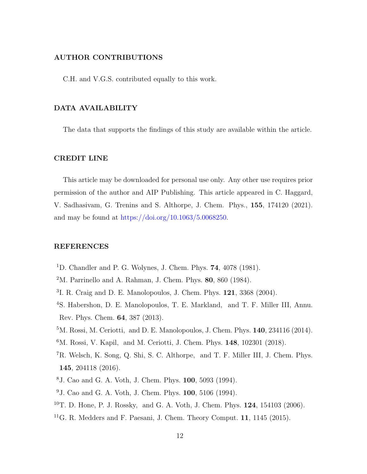# AUTHOR CONTRIBUTIONS

C.H. and V.G.S. contributed equally to this work.

### DATA AVAILABILITY

The data that supports the findings of this study are available within the article.

# CREDIT LINE

This article may be downloaded for personal use only. Any other use requires prior permission of the author and AIP Publishing. This article appeared in C. Haggard, V. Sadhasivam, G. Trenins and S. Althorpe, J. Chem. Phys., 155, 174120 (2021). and may be found at [https://doi.org/10.1063/5.0068250.](https://doi.org/10.1063/5.0068250)

#### REFERENCES

- <span id="page-11-0"></span><sup>1</sup>D. Chandler and P. G. Wolynes, J. Chem. Phys. **74**, 4078 (1981).
- <span id="page-11-1"></span> $2^{\text{M}}$ . Parrinello and A. Rahman, [J. Chem. Phys.](http://scitation.aip.org/content/aip/journal/jcp/80/2/10.1063/1.446740) 80, 860 (1984).
- <span id="page-11-2"></span>3 I. R. Craig and D. E. Manolopoulos, [J. Chem. Phys.](http://dx.doi.org/10.1063/1.1777575) 121, 3368 (2004).
- <sup>4</sup>S. Habershon, D. E. Manolopoulos, T. E. Markland, and T. F. Miller III, [Annu.](http://dx.doi.org/10.1146/annurev-physchem-040412-110122) [Rev. Phys. Chem.](http://dx.doi.org/10.1146/annurev-physchem-040412-110122) 64, 387 (2013).
- <sup>5</sup>M. Rossi, M. Ceriotti, and D. E. Manolopoulos, J. Chem. Phys. **140**[, 234116 \(2014\).](http://dx.doi.org/10.1063/1.4883861)
- <span id="page-11-3"></span><sup>6</sup>M. Rossi, V. Kapil, and M. Ceriotti, J. Chem. Phys. **148**, 102301 (2018).
- <sup>7</sup>R. Welsch, K. Song, Q. Shi, S. C. Althorpe, and T. F. Miller III, J. Chem. Phys. 145, 204118 (2016).
- <span id="page-11-4"></span><sup>8</sup>J. Cao and G. A. Voth, [J. Chem. Phys.](http://dx.doi.org/10.1063/1.467175) 100, 5093 (1994).
- <sup>9</sup>J. Cao and G. A. Voth, [J. Chem. Phys.](http://dx.doi.org/10.1063/1.467176) 100, 5106 (1994).
- <sup>10</sup>T. D. Hone, P. J. Rossky, and G. A. Voth, J. Chem. Phys. 124[, 154103 \(2006\).](papers2://publication/doi/10.1063/1.2186636)
- <sup>11</sup>G. R. Medders and F. Paesani, J. Chem. Theory Comput.  $11$ ,  $1145$  (2015).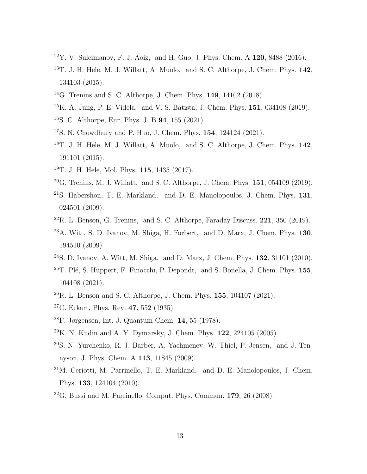- <span id="page-12-0"></span> $12$ Y. V. Suleimanov, F. J. Aoiz, and H. Guo, J. Phys. Chem. A  $120$ ,  $8488$  (2016).
- <span id="page-12-1"></span><sup>13</sup>T. J. H. Hele, M. J. Willatt, A. Muolo, and S. C. Althorpe, [J. Chem. Phys.](http://dx.doi.org/10.1063/1.4916311) **142**, [134103 \(2015\).](http://dx.doi.org/10.1063/1.4916311)
- <span id="page-12-9"></span><sup>14</sup>G. Trenins and S. C. Althorpe, [J. Chem. Phys.](http://dx.doi.org/10.1063/1.5038616) 149, 14102 (2018).
- <sup>15</sup>K. A. Jung, P. E. Videla, and V. S. Batista, J. Chem. Phys. 151, 034108 (2019).
- <span id="page-12-3"></span><sup>16</sup>S. C. Althorpe, Eur. Phys. J. B 94, 155 (2021).
- <span id="page-12-4"></span><span id="page-12-2"></span><sup>17</sup>S. N. Chowdhury and P. Huo, J. Chem. Phys. 154, 124124 (2021).
- <sup>18</sup>T. J. H. Hele, M. J. Willatt, A. Muolo, and S. C. Althorpe, [J. Chem. Phys.](http://dx.doi.org/10.1063/1.4921234) 142, [191101 \(2015\).](http://dx.doi.org/10.1063/1.4921234)
- <span id="page-12-5"></span><sup>19</sup>T. J. H. Hele, Mol. Phys. 115[, 1435 \(2017\).](http://dx.doi.org/10.1080/00268976.2017.1303548)
- <span id="page-12-6"></span> $20G$ . Trenins, M. J. Willatt, and S. C. Althorpe, J. Chem. Phys.  $151$ ,  $054109$  (2019).
- <span id="page-12-7"></span> $21$ S. Habershon, T. E. Markland, and D. E. Manolopoulos, [J. Chem. Phys.](http://dx.doi.org/10.1063/1.3167790) 131, [024501 \(2009\).](http://dx.doi.org/10.1063/1.3167790)
- <span id="page-12-8"></span> $^{22}$ R. L. Benson, G. Trenins, and S. C. Althorpe, [Faraday Discuss.](http://dx.doi.org/10.1039/c9fd00077a) 221, 350 (2019).
- <span id="page-12-10"></span> $^{23}$ A. Witt, S. D. Ivanov, M. Shiga, H. Forbert, and D. Marx, [J. Chem. Phys.](http://dx.doi.org/ 10.1063/1.3125009) 130, [194510 \(2009\).](http://dx.doi.org/ 10.1063/1.3125009)
- <span id="page-12-11"></span><sup>24</sup>S. D. Ivanov, A. Witt, M. Shiga, and D. Marx, [J. Chem. Phys.](http://dx.doi.org/ 10.1063/1.3290958) 132, 31101 (2010).
- <span id="page-12-12"></span> $25$ T. Plé, S. Huppert, F. Finocchi, P. Depondt, and S. Bonella, J. Chem. Phys.  $155$ , 104108 (2021).
- <span id="page-12-13"></span> $^{26}$ R. L. Benson and S. C. Althorpe, J. Chem. Phys. 155, 104107 (2021).
- <span id="page-12-14"></span> $27$ C. Eckart, Phys. Rev. 47[, 552 \(1935\).](http://dx.doi.org/10.1103/PhysRev.47.552)
- $^{28}$ F. Jørgensen, [Int. J. Quantum Chem.](http://dx.doi.org/10.1002/qua.560140106) 14, 55 (1978).
- <span id="page-12-16"></span><span id="page-12-15"></span> $^{29}$ K. N. Kudin and A. Y. Dymarsky, J. Chem. Phys. 122[, 224105 \(2005\).](http://dx.doi.org/10.1063/1.1929739)
- <sup>30</sup>S. N. Yurchenko, R. J. Barber, A. Yachmenev, W. Thiel, P. Jensen, and J. Tennyson, [J. Phys. Chem. A](http://dx.doi.org/ 10.1021/jp9029425) 113, 11845 (2009).
- <span id="page-12-17"></span><sup>31</sup>M. Ceriotti, M. Parrinello, T. E. Markland, and D. E. Manolopoulos, [J. Chem.](http://dx.doi.org/10.1063/1.3489925) Phys. 133[, 124104 \(2010\).](http://dx.doi.org/10.1063/1.3489925)
- <span id="page-12-18"></span> $32G$ . Bussi and M. Parrinello, [Comput. Phys. Commun.](http://dx.doi.org/https://doi.org/10.1016/j.cpc.2008.01.006) 179, 26 (2008).